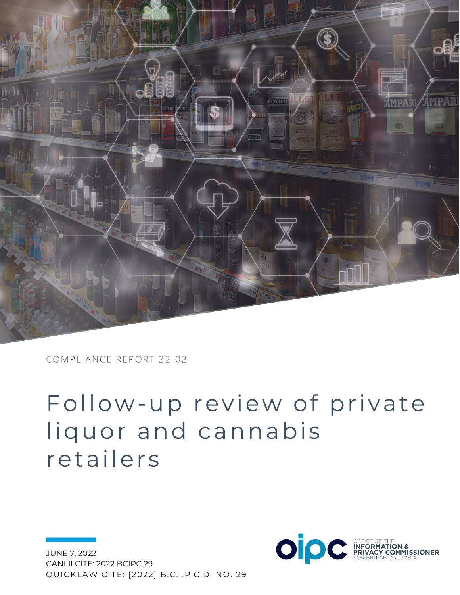

COMPLIANCE REPORT 22-02

# Follow-up review of private liquor and cannabis retailers

JUNE 7, 2022 CANLII CITE: 2022 BCIPC 29 QUICKLAW CITE: [2022] B.C.I.P.C.D. NO. 29

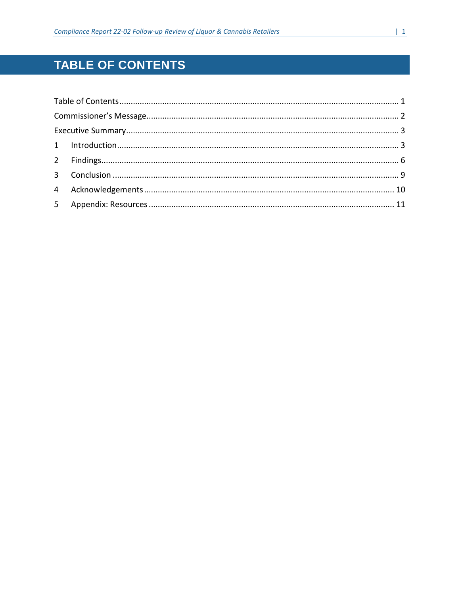# <span id="page-1-0"></span>TABLE OF CONTENTS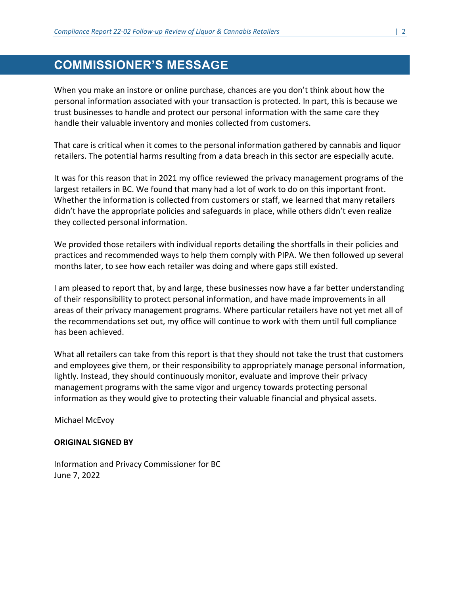# <span id="page-2-0"></span>**COMMISSIONER'S MESSAGE**

When you make an instore or online purchase, chances are you don't think about how the personal information associated with your transaction is protected. In part, this is because we trust businesses to handle and protect our personal information with the same care they handle their valuable inventory and monies collected from customers.

That care is critical when it comes to the personal information gathered by cannabis and liquor retailers. The potential harms resulting from a data breach in this sector are especially acute.

It was for this reason that in 2021 my office reviewed the privacy management programs of the largest retailers in BC. We found that many had a lot of work to do on this important front. Whether the information is collected from customers or staff, we learned that many retailers didn't have the appropriate policies and safeguards in place, while others didn't even realize they collected personal information.

We provided those retailers with individual reports detailing the shortfalls in their policies and practices and recommended ways to help them comply with PIPA. We then followed up several months later, to see how each retailer was doing and where gaps still existed.

I am pleased to report that, by and large, these businesses now have a far better understanding of their responsibility to protect personal information, and have made improvements in all areas of their privacy management programs. Where particular retailers have not yet met all of the recommendations set out, my office will continue to work with them until full compliance has been achieved.

What all retailers can take from this report is that they should not take the trust that customers and employees give them, or their responsibility to appropriately manage personal information, lightly. Instead, they should continuously monitor, evaluate and improve their privacy management programs with the same vigor and urgency towards protecting personal information as they would give to protecting their valuable financial and physical assets.

Michael McEvoy

#### **ORIGINAL SIGNED BY**

Information and Privacy Commissioner for BC June 7, 2022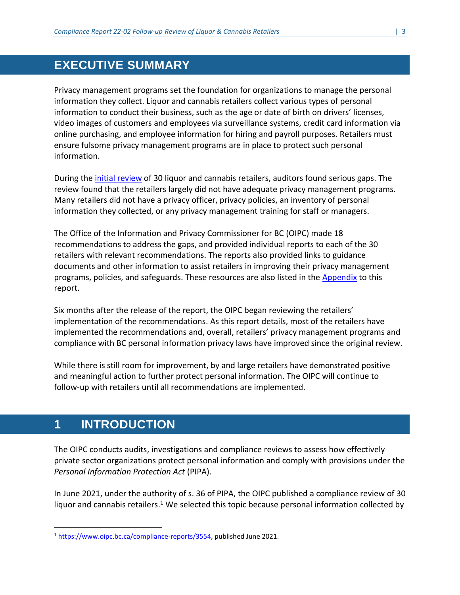# <span id="page-3-0"></span>**EXECUTIVE SUMMARY**

Privacy management programs set the foundation for organizations to manage the personal information they collect. Liquor and cannabis retailers collect various types of personal information to conduct their business, such as the age or date of birth on drivers' licenses, video images of customers and employees via surveillance systems, credit card information via online purchasing, and employee information for hiring and payroll purposes. Retailers must ensure fulsome privacy management programs are in place to protect such personal information.

During the initial [review](https://www.oipc.bc.ca/compliance-reports/3554) of 30 liquor and cannabis retailers, auditors found serious gaps. The review found that the retailers largely did not have adequate privacy management programs. Many retailers did not have a privacy officer, privacy policies, an inventory of personal information they collected, or any privacy management training for staff or managers.

The Office of the Information and Privacy Commissioner for BC (OIPC) made 18 recommendations to address the gaps, and provided individual reports to each of the 30 retailers with relevant recommendations. The reports also provided links to guidance documents and other information to assist retailers in improving their privacy management programs, policies, and safeguards. These resources are also listed in the [Appendix](#page-10-1) to this report.

Six months after the release of the report, the OIPC began reviewing the retailers' implementation of the recommendations. As this report details, most of the retailers have implemented the recommendations and, overall, retailers' privacy management programs and compliance with BC personal information privacy laws have improved since the original review.

While there is still room for improvement, by and large retailers have demonstrated positive and meaningful action to further protect personal information. The OIPC will continue to follow-up with retailers until all recommendations are implemented.

# <span id="page-3-1"></span>**1 INTRODUCTION**

 $\overline{a}$ 

The OIPC conducts audits, investigations and compliance reviews to assess how effectively private sector organizations protect personal information and comply with provisions under the *Personal Information Protection Act* (PIPA).

In June 2021, under the authority of s. 36 of PIPA, the OIPC published a compliance review of 30 liquor and cannabis retailers.<sup>1</sup> We selected this topic because personal information collected by

<sup>1</sup> [https://www.oipc.bc.ca/compliance-reports/3554,](https://www.oipc.bc.ca/compliance-reports/3554) published June 2021.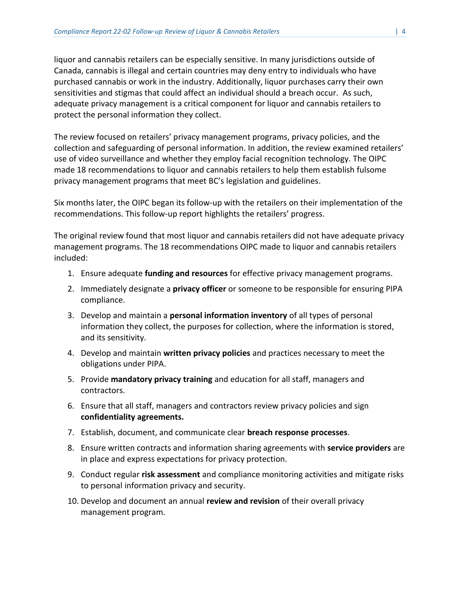liquor and cannabis retailers can be especially sensitive. In many jurisdictions outside of Canada, cannabis is illegal and certain countries may deny entry to individuals who have purchased cannabis or work in the industry. Additionally, liquor purchases carry their own sensitivities and stigmas that could affect an individual should a breach occur. As such, adequate privacy management is a critical component for liquor and cannabis retailers to protect the personal information they collect.

The review focused on retailers' privacy management programs, privacy policies, and the collection and safeguarding of personal information. In addition, the review examined retailers' use of video surveillance and whether they employ facial recognition technology. The OIPC made 18 recommendations to liquor and cannabis retailers to help them establish fulsome privacy management programs that meet BC's legislation and guidelines.

Six months later, the OIPC began its follow-up with the retailers on their implementation of the recommendations. This follow-up report highlights the retailers' progress.

The original review found that most liquor and cannabis retailers did not have adequate privacy management programs. The 18 recommendations OIPC made to liquor and cannabis retailers included:

- 1. Ensure adequate **funding and resources** for effective privacy management programs.
- 2. Immediately designate a **privacy officer** or someone to be responsible for ensuring PIPA compliance.
- 3. Develop and maintain a **personal information inventory** of all types of personal information they collect, the purposes for collection, where the information is stored, and its sensitivity.
- 4. Develop and maintain **written privacy policies** and practices necessary to meet the obligations under PIPA.
- 5. Provide **mandatory privacy training** and education for all staff, managers and contractors.
- 6. Ensure that all staff, managers and contractors review privacy policies and sign **confidentiality agreements.**
- 7. Establish, document, and communicate clear **breach response processes**.
- 8. Ensure written contracts and information sharing agreements with **service providers** are in place and express expectations for privacy protection.
- 9. Conduct regular **risk assessment** and compliance monitoring activities and mitigate risks to personal information privacy and security.
- 10. Develop and document an annual **review and revision** of their overall privacy management program.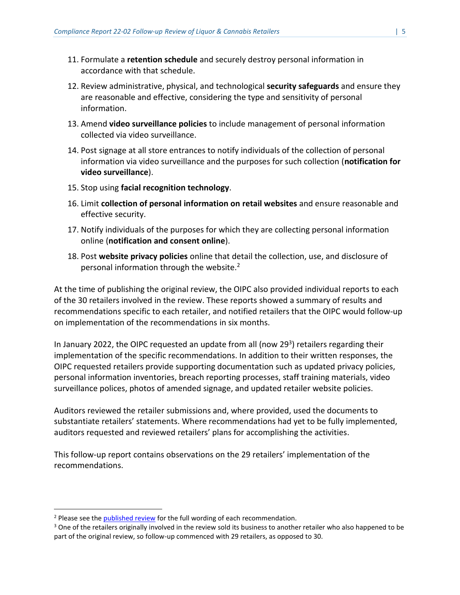- 11. Formulate a **retention schedule** and securely destroy personal information in accordance with that schedule.
- 12. Review administrative, physical, and technological **security safeguards** and ensure they are reasonable and effective, considering the type and sensitivity of personal information.
- 13. Amend **video surveillance policies** to include management of personal information collected via video surveillance.
- 14. Post signage at all store entrances to notify individuals of the collection of personal information via video surveillance and the purposes for such collection (**notification for video surveillance**).
- 15. Stop using **facial recognition technology**.
- 16. Limit **collection of personal information on retail websites** and ensure reasonable and effective security.
- 17. Notify individuals of the purposes for which they are collecting personal information online (**notification and consent online**).
- 18. Post **website privacy policies** online that detail the collection, use, and disclosure of personal information through the website.<sup>2</sup>

At the time of publishing the original review, the OIPC also provided individual reports to each of the 30 retailers involved in the review. These reports showed a summary of results and recommendations specific to each retailer, and notified retailers that the OIPC would follow-up on implementation of the recommendations in six months.

In January 2022, the OIPC requested an update from all (now 29<sup>3</sup>) retailers regarding their implementation of the specific recommendations. In addition to their written responses, the OIPC requested retailers provide supporting documentation such as updated privacy policies, personal information inventories, breach reporting processes, staff training materials, video surveillance polices, photos of amended signage, and updated retailer website policies.

Auditors reviewed the retailer submissions and, where provided, used the documents to substantiate retailers' statements. Where recommendations had yet to be fully implemented, auditors requested and reviewed retailers' plans for accomplishing the activities.

This follow-up report contains observations on the 29 retailers' implementation of the recommendations.

 $\overline{a}$ 

<sup>&</sup>lt;sup>2</sup> Please see the [published review](https://www.oipc.bc.ca/compliance-reports/3554) for the full wording of each recommendation.

<sup>&</sup>lt;sup>3</sup> One of the retailers originally involved in the review sold its business to another retailer who also happened to be part of the original review, so follow-up commenced with 29 retailers, as opposed to 30.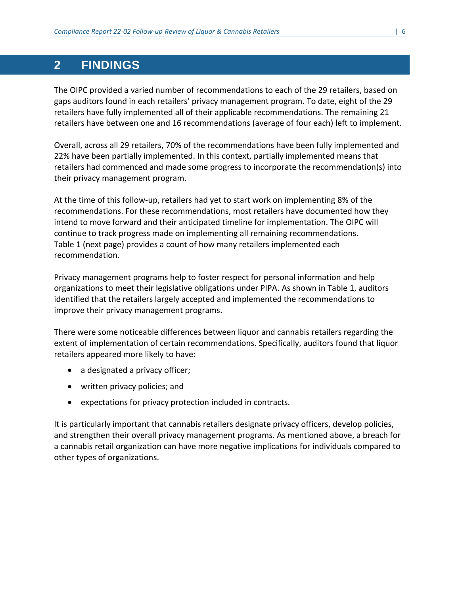# <span id="page-6-0"></span>**2 FINDINGS**

The OIPC provided a varied number of recommendations to each of the 29 retailers, based on gaps auditors found in each retailers' privacy management program. To date, eight of the 29 retailers have fully implemented all of their applicable recommendations. The remaining 21 retailers have between one and 16 recommendations (average of four each) left to implement.

Overall, across all 29 retailers, 70% of the recommendations have been fully implemented and 22% have been partially implemented. In this context, partially implemented means that retailers had commenced and made some progress to incorporate the recommendation(s) into their privacy management program.

At the time of this follow-up, retailers had yet to start work on implementing 8% of the recommendations. For these recommendations, most retailers have documented how they intend to move forward and their anticipated timeline for implementation. The OIPC will continue to track progress made on implementing all remaining recommendations. Table 1 (next page) provides a count of how many retailers implemented each recommendation.

Privacy management programs help to foster respect for personal information and help organizations to meet their legislative obligations under PIPA. As shown in Table 1, auditors identified that the retailers largely accepted and implemented the recommendations to improve their privacy management programs.

There were some noticeable differences between liquor and cannabis retailers regarding the extent of implementation of certain recommendations. Specifically, auditors found that liquor retailers appeared more likely to have:

- a designated a privacy officer;
- written privacy policies; and
- expectations for privacy protection included in contracts.

It is particularly important that cannabis retailers designate privacy officers, develop policies, and strengthen their overall privacy management programs. As mentioned above, a breach for a cannabis retail organization can have more negative implications for individuals compared to other types of organizations.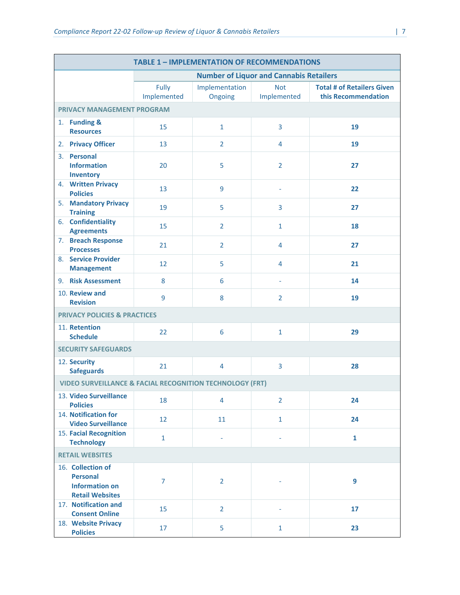| <b>TABLE 1 - IMPLEMENTATION OF RECOMMENDATIONS</b>                  |                                                                                         |                                                |                           |                           |                                                          |  |  |  |
|---------------------------------------------------------------------|-----------------------------------------------------------------------------------------|------------------------------------------------|---------------------------|---------------------------|----------------------------------------------------------|--|--|--|
|                                                                     |                                                                                         | <b>Number of Liquor and Cannabis Retailers</b> |                           |                           |                                                          |  |  |  |
|                                                                     |                                                                                         | Fully<br>Implemented                           | Implementation<br>Ongoing | <b>Not</b><br>Implemented | <b>Total # of Retailers Given</b><br>this Recommendation |  |  |  |
| <b>PRIVACY MANAGEMENT PROGRAM</b>                                   |                                                                                         |                                                |                           |                           |                                                          |  |  |  |
|                                                                     | 1. Funding &<br><b>Resources</b>                                                        | 15                                             | $\mathbf{1}$              | 3                         | 19                                                       |  |  |  |
|                                                                     | 2. Privacy Officer                                                                      | 13                                             | $\overline{2}$            | 4                         | 19                                                       |  |  |  |
|                                                                     | 3. Personal<br><b>Information</b><br><b>Inventory</b>                                   | 20                                             | 5                         | $\overline{2}$            | 27                                                       |  |  |  |
|                                                                     | 4. Written Privacy<br><b>Policies</b>                                                   | 13                                             | 9                         |                           | 22                                                       |  |  |  |
|                                                                     | 5. Mandatory Privacy<br><b>Training</b>                                                 | 19                                             | 5                         | 3                         | 27                                                       |  |  |  |
|                                                                     | 6. Confidentiality<br><b>Agreements</b>                                                 | 15                                             | $\overline{2}$            | $\mathbf{1}$              | 18                                                       |  |  |  |
|                                                                     | 7. Breach Response<br><b>Processes</b>                                                  | 21                                             | $\overline{2}$            | 4                         | 27                                                       |  |  |  |
|                                                                     | 8. Service Provider<br><b>Management</b>                                                | 12                                             | 5                         | 4                         | 21                                                       |  |  |  |
|                                                                     | 9. Risk Assessment                                                                      | 8                                              | 6                         | $\overline{\phantom{a}}$  | 14                                                       |  |  |  |
|                                                                     | 10. Review and<br><b>Revision</b>                                                       | 9                                              | 8                         | $\overline{2}$            | 19                                                       |  |  |  |
| <b>PRIVACY POLICIES &amp; PRACTICES</b>                             |                                                                                         |                                                |                           |                           |                                                          |  |  |  |
|                                                                     | 11. Retention<br><b>Schedule</b>                                                        | 22                                             | 6                         | $\mathbf{1}$              | 29                                                       |  |  |  |
| <b>SECURITY SAFEGUARDS</b>                                          |                                                                                         |                                                |                           |                           |                                                          |  |  |  |
|                                                                     | 12. Security<br><b>Safeguards</b>                                                       | 21                                             | $\overline{4}$            | 3                         | 28                                                       |  |  |  |
| <b>VIDEO SURVEILLANCE &amp; FACIAL RECOGNITION TECHNOLOGY (FRT)</b> |                                                                                         |                                                |                           |                           |                                                          |  |  |  |
|                                                                     | 13. Video Surveillance<br><b>Policies</b>                                               | 18                                             | 4                         | $\overline{2}$            | 24                                                       |  |  |  |
|                                                                     | 14. Notification for<br><b>Video Surveillance</b>                                       | 12                                             | 11                        | $\mathbf{1}$              | 24                                                       |  |  |  |
|                                                                     | <b>15. Facial Recognition</b><br><b>Technology</b>                                      | $\mathbf{1}$                                   | ÷,                        |                           | $\mathbf{1}$                                             |  |  |  |
| <b>RETAIL WEBSITES</b>                                              |                                                                                         |                                                |                           |                           |                                                          |  |  |  |
|                                                                     | 16. Collection of<br><b>Personal</b><br><b>Information on</b><br><b>Retail Websites</b> | $\overline{7}$                                 | $\overline{2}$            |                           | 9                                                        |  |  |  |
|                                                                     | 17. Notification and<br><b>Consent Online</b>                                           | 15                                             | $\overline{2}$            |                           | 17                                                       |  |  |  |
|                                                                     | 18. Website Privacy<br><b>Policies</b>                                                  | 17                                             | 5                         | $\mathbf{1}$              | 23                                                       |  |  |  |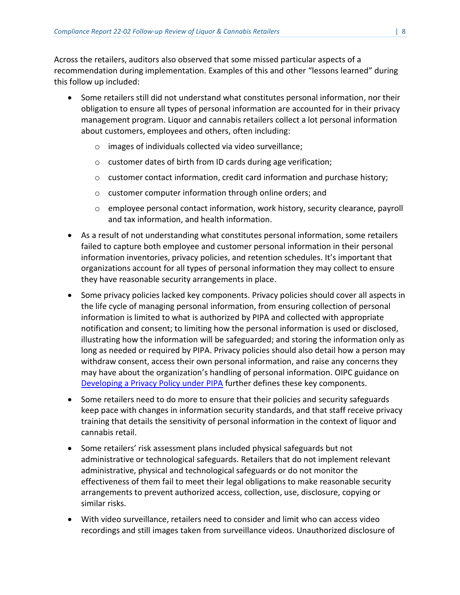Across the retailers, auditors also observed that some missed particular aspects of a recommendation during implementation. Examples of this and other "lessons learned" during this follow up included:

- Some retailers still did not understand what constitutes personal information, nor their obligation to ensure all types of personal information are accounted for in their privacy management program. Liquor and cannabis retailers collect a lot personal information about customers, employees and others, often including:
	- o images of individuals collected via video surveillance;
	- o customer dates of birth from ID cards during age verification;
	- o customer contact information, credit card information and purchase history;
	- o customer computer information through online orders; and
	- $\circ$  employee personal contact information, work history, security clearance, payroll and tax information, and health information.
- As a result of not understanding what constitutes personal information, some retailers failed to capture both employee and customer personal information in their personal information inventories, privacy policies, and retention schedules. It's important that organizations account for all types of personal information they may collect to ensure they have reasonable security arrangements in place.
- Some privacy policies lacked key components. Privacy policies should cover all aspects in the life cycle of managing personal information, from ensuring collection of personal information is limited to what is authorized by PIPA and collected with appropriate notification and consent; to limiting how the personal information is used or disclosed, illustrating how the information will be safeguarded; and storing the information only as long as needed or required by PIPA. Privacy policies should also detail how a person may withdraw consent, access their own personal information, and raise any concerns they may have about the organization's handling of personal information. OIPC guidance on [Developing a Privacy Policy under PIPA](https://www.oipc.bc.ca/guidance-documents/2286) further defines these key components.
- Some retailers need to do more to ensure that their policies and security safeguards keep pace with changes in information security standards, and that staff receive privacy training that details the sensitivity of personal information in the context of liquor and cannabis retail.
- Some retailers' risk assessment plans included physical safeguards but not administrative or technological safeguards. Retailers that do not implement relevant administrative, physical and technological safeguards or do not monitor the effectiveness of them fail to meet their legal obligations to make reasonable security arrangements to prevent authorized access, collection, use, disclosure, copying or similar risks.
- With video surveillance, retailers need to consider and limit who can access video recordings and still images taken from surveillance videos. Unauthorized disclosure of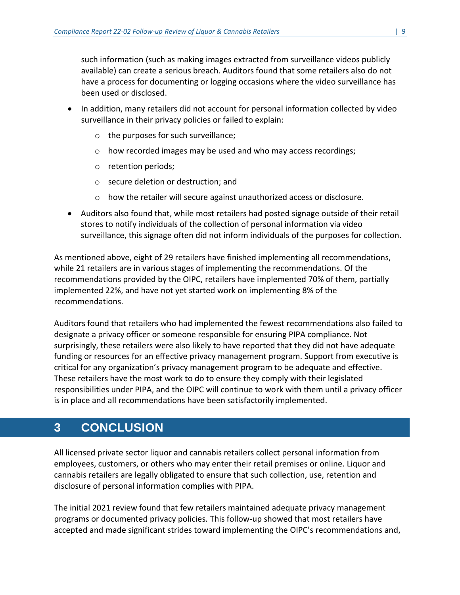such information (such as making images extracted from surveillance videos publicly available) can create a serious breach. Auditors found that some retailers also do not have a process for documenting or logging occasions where the video surveillance has been used or disclosed.

- In addition, many retailers did not account for personal information collected by video surveillance in their privacy policies or failed to explain:
	- o the purposes for such surveillance;
	- o how recorded images may be used and who may access recordings;
	- o retention periods;
	- o secure deletion or destruction; and
	- o how the retailer will secure against unauthorized access or disclosure.
- Auditors also found that, while most retailers had posted signage outside of their retail stores to notify individuals of the collection of personal information via video surveillance, this signage often did not inform individuals of the purposes for collection.

As mentioned above, eight of 29 retailers have finished implementing all recommendations, while 21 retailers are in various stages of implementing the recommendations. Of the recommendations provided by the OIPC, retailers have implemented 70% of them, partially implemented 22%, and have not yet started work on implementing 8% of the recommendations.

Auditors found that retailers who had implemented the fewest recommendations also failed to designate a privacy officer or someone responsible for ensuring PIPA compliance. Not surprisingly, these retailers were also likely to have reported that they did not have adequate funding or resources for an effective privacy management program. Support from executive is critical for any organization's privacy management program to be adequate and effective. These retailers have the most work to do to ensure they comply with their legislated responsibilities under PIPA, and the OIPC will continue to work with them until a privacy officer is in place and all recommendations have been satisfactorily implemented.

# <span id="page-9-0"></span>**3 CONCLUSION**

All licensed private sector liquor and cannabis retailers collect personal information from employees, customers, or others who may enter their retail premises or online. Liquor and cannabis retailers are legally obligated to ensure that such collection, use, retention and disclosure of personal information complies with PIPA.

The initial 2021 review found that few retailers maintained adequate privacy management programs or documented privacy policies. This follow-up showed that most retailers have accepted and made significant strides toward implementing the OIPC's recommendations and,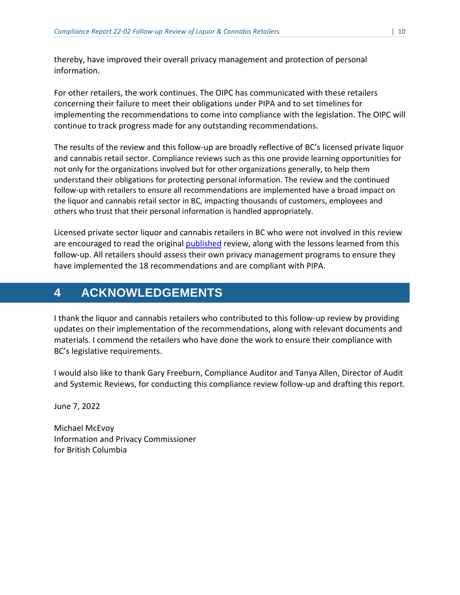thereby, have improved their overall privacy management and protection of personal information.

For other retailers, the work continues. The OIPC has communicated with these retailers concerning their failure to meet their obligations under PIPA and to set timelines for implementing the recommendations to come into compliance with the legislation. The OIPC will continue to track progress made for any outstanding recommendations.

The results of the review and this follow-up are broadly reflective of BC's licensed private liquor and cannabis retail sector. Compliance reviews such as this one provide learning opportunities for not only for the organizations involved but for other organizations generally, to help them understand their obligations for protecting personal information. The review and the continued follow-up with retailers to ensure all recommendations are implemented have a broad impact on the liquor and cannabis retail sector in BC, impacting thousands of customers, employees and others who trust that their personal information is handled appropriately.

Licensed private sector liquor and cannabis retailers in BC who were not involved in this review are encouraged to read the original [published](https://www.oipc.bc.ca/compliance-reports/3554) review, along with the lessons learned from this follow-up. All retailers should assess their own privacy management programs to ensure they have implemented the 18 recommendations and are compliant with PIPA.

# <span id="page-10-0"></span>**4 ACKNOWLEDGEMENTS**

I thank the liquor and cannabis retailers who contributed to this follow-up review by providing updates on their implementation of the recommendations, along with relevant documents and materials. I commend the retailers who have done the work to ensure their compliance with BC's legislative requirements.

I would also like to thank Gary Freeburn, Compliance Auditor and Tanya Allen, Director of Audit and Systemic Reviews, for conducting this compliance review follow-up and drafting this report.

June 7, 2022

<span id="page-10-1"></span>Michael McEvoy Information and Privacy Commissioner for British Columbia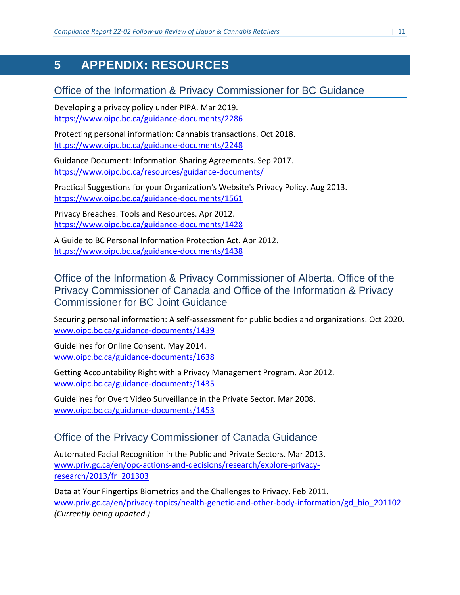# <span id="page-11-0"></span>**5 APPENDIX: RESOURCES**

#### Office of the Information & Privacy Commissioner for BC Guidance

Developing a privacy policy under PIPA. Mar 2019. <https://www.oipc.bc.ca/guidance-documents/2286>

Protecting personal information: Cannabis transactions. Oct 2018. <https://www.oipc.bc.ca/guidance-documents/2248>

Guidance Document: Information Sharing Agreements. Sep 2017. <https://www.oipc.bc.ca/resources/guidance-documents/>

Practical Suggestions for your Organization's Website's Privacy Policy. Aug 2013. <https://www.oipc.bc.ca/guidance-documents/1561>

Privacy Breaches: Tools and Resources. Apr 2012. <https://www.oipc.bc.ca/guidance-documents/1428>

A Guide to BC Personal Information Protection Act. Apr 2012. <https://www.oipc.bc.ca/guidance-documents/1438>

Office of the Information & Privacy Commissioner of Alberta, Office of the Privacy Commissioner of Canada and Office of the Information & Privacy Commissioner for BC Joint Guidance

Securing personal information: A self-assessment for public bodies and organizations. Oct 2020. [www.oipc.bc.ca/guidance-documents/1439](http://www.oipc.bc.ca/guidance-documents/1439)

Guidelines for Online Consent. May 2014. [www.oipc.bc.ca/guidance-documents/1638](http://www.oipc.bc.ca/guidance-documents/1638)

Getting Accountability Right with a Privacy Management Program. Apr 2012. [www.oipc.bc.ca/guidance-documents/1435](http://www.oipc.bc.ca/guidance-documents/1435)

Guidelines for Overt Video Surveillance in the Private Sector. Mar 2008. [www.oipc.bc.ca/guidance-documents/1453](http://www.oipc.bc.ca/guidance-documents/1453)

#### Office of the Privacy Commissioner of Canada Guidance

Automated Facial Recognition in the Public and Private Sectors. Mar 2013. www.priv.gc.ca/en/opc-actions-and-decisions/research/explore-privacyresearch/2013/fr\_201303

Data at Your Fingertips Biometrics and the Challenges to Privacy. Feb 2011. [www.priv.gc.ca/en/privacy-topics/health-genetic-and-other-body-information/gd\\_bio\\_201102](http://www.priv.gc.ca/en/privacy-topics/health-genetic-and-other-body-information/gd_bio_201102) *(Currently being updated.)*